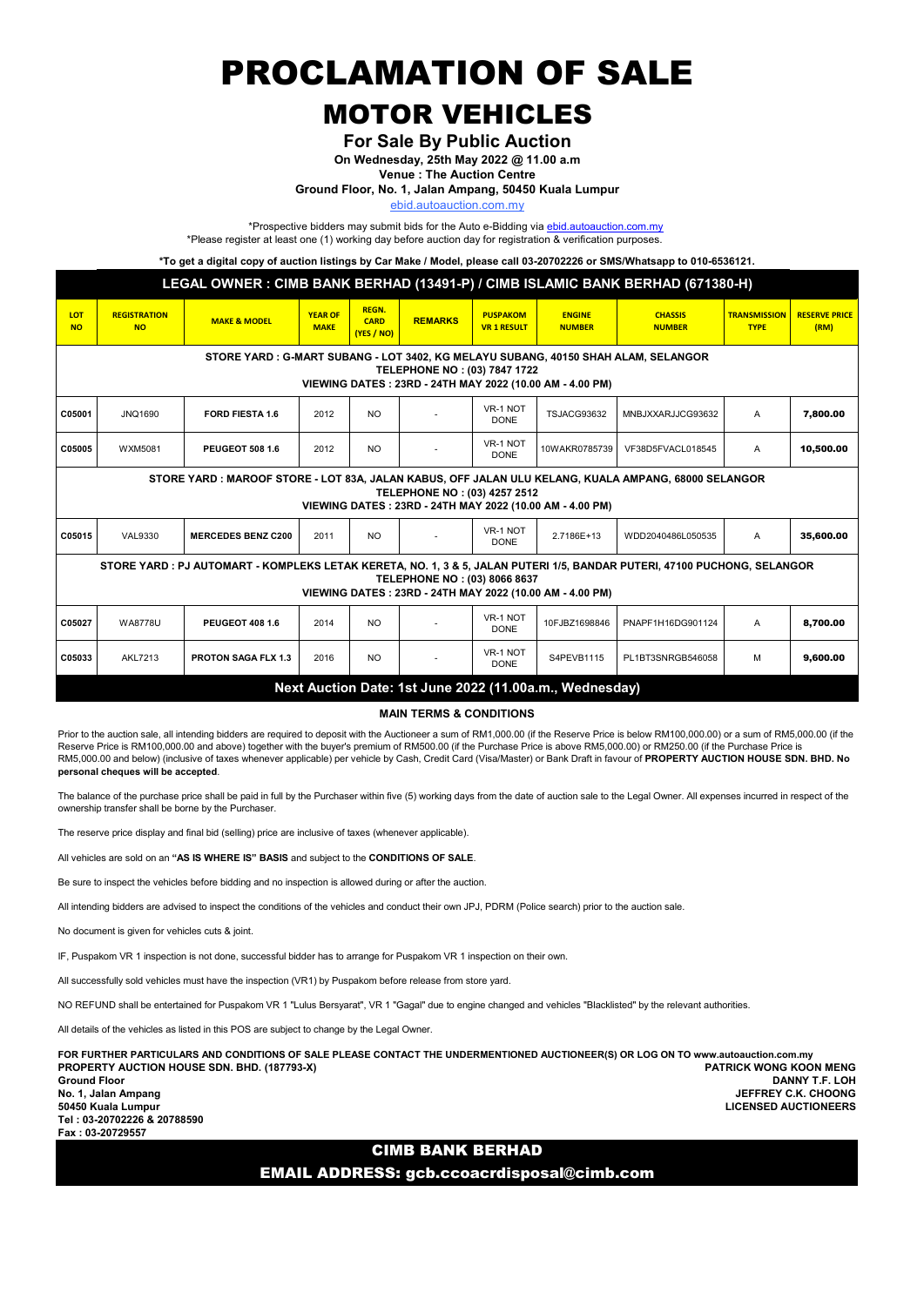PROCLAMATION OF SALE

## MOTOR VEHICLES

For Sale By Public Auction

On Wednesday, 25th May 2022 @ 11.00 a.m

Venue : The Auction Centre

Ground Floor, No. 1, Jalan Ampang, 50450 Kuala Lumpur

ebid.autoauction.com.my

\*Prospective bidders may submit bids for the Auto e-Bidding via **ebid.autoauction.com.my** \*Please register at least one (1) working day before auction day for registration & verification purposes.

\*To get a digital copy of auction listings by Car Make / Model, please call 03-20702226 or SMS/Whatsapp to 010-6536121.

| LEGAL OWNER : CIMB BANK BERHAD (13491-P) / CIMB ISLAMIC BANK BERHAD (671380-H)                                                                                                                                      |                                  |                            |                               |                                           |                |                                       |                                |                                 |                                    |                              |  |
|---------------------------------------------------------------------------------------------------------------------------------------------------------------------------------------------------------------------|----------------------------------|----------------------------|-------------------------------|-------------------------------------------|----------------|---------------------------------------|--------------------------------|---------------------------------|------------------------------------|------------------------------|--|
| <b>LOT</b><br><b>NO</b>                                                                                                                                                                                             | <b>REGISTRATION</b><br><b>NO</b> | <b>MAKE &amp; MODEL</b>    | <b>YEAR OF</b><br><b>MAKE</b> | <b>REGN.</b><br><b>CARD</b><br>(YES / NO) | <b>REMARKS</b> | <b>PUSPAKOM</b><br><b>VR 1 RESULT</b> | <b>ENGINE</b><br><b>NUMBER</b> | <b>CHASSIS</b><br><b>NUMBER</b> | <b>TRANSMISSION</b><br><b>TYPE</b> | <b>RESERVE PRICE</b><br>(RM) |  |
| STORE YARD : G-MART SUBANG - LOT 3402, KG MELAYU SUBANG, 40150 SHAH ALAM, SELANGOR<br>TELEPHONE NO: (03) 7847 1722<br>VIEWING DATES: 23RD - 24TH MAY 2022 (10.00 AM - 4.00 PM)                                      |                                  |                            |                               |                                           |                |                                       |                                |                                 |                                    |                              |  |
| C05001                                                                                                                                                                                                              | JNQ1690                          | <b>FORD FIESTA 1.6</b>     | 2012                          | <b>NO</b>                                 |                | VR-1 NOT<br><b>DONE</b>               | TSJACG93632                    | MNBJXXARJJCG93632               | A                                  | 7.800.00                     |  |
| C05005                                                                                                                                                                                                              | WXM5081                          | <b>PEUGEOT 508 1.6</b>     | 2012                          | <b>NO</b>                                 |                | VR-1 NOT<br><b>DONE</b>               | 10WAKR0785739                  | VF38D5FVACL018545               | A                                  | 10,500.00                    |  |
| STORE YARD : MAROOF STORE - LOT 83A, JALAN KABUS, OFF JALAN ULU KELANG, KUALA AMPANG, 68000 SELANGOR<br>TELEPHONE NO: (03) 4257 2512<br>VIEWING DATES: 23RD - 24TH MAY 2022 (10.00 AM - 4.00 PM)                    |                                  |                            |                               |                                           |                |                                       |                                |                                 |                                    |                              |  |
| C05015                                                                                                                                                                                                              | <b>VAL9330</b>                   | <b>MERCEDES BENZ C200</b>  | 2011                          | <b>NO</b>                                 |                | VR-1 NOT<br><b>DONE</b>               | 2.7186E+13                     | WDD2040486L050535               | A                                  | 35,600.00                    |  |
| STORE YARD: PJ AUTOMART - KOMPLEKS LETAK KERETA, NO. 1, 3 & 5, JALAN PUTERI 1/5, BANDAR PUTERI, 47100 PUCHONG, SELANGOR<br>TELEPHONE NO: (03) 8066 8637<br>VIEWING DATES: 23RD - 24TH MAY 2022 (10.00 AM - 4.00 PM) |                                  |                            |                               |                                           |                |                                       |                                |                                 |                                    |                              |  |
| C05027                                                                                                                                                                                                              | <b>WA8778U</b>                   | PEUGEOT 408 1.6            | 2014                          | <b>NO</b>                                 |                | VR-1 NOT<br><b>DONE</b>               | 10FJBZ1698846                  | PNAPF1H16DG901124               | A                                  | 8,700.00                     |  |
| C05033                                                                                                                                                                                                              | <b>AKL7213</b>                   | <b>PROTON SAGA FLX 1.3</b> | 2016                          | <b>NO</b>                                 |                | VR-1 NOT<br><b>DONE</b>               | S4PEVB1115                     | PL1BT3SNRGB546058               | M                                  | 9.600.00                     |  |
| Next Auction Date: 1st June 2022 (11.00a.m., Wednesday)                                                                                                                                                             |                                  |                            |                               |                                           |                |                                       |                                |                                 |                                    |                              |  |

MAIN TERMS & CONDITIONS

Prior to the auction sale, all intending bidders are required to deposit with the Auctioneer a sum of RM1,000.00 (if the Reserve Price is below RM100,000.00) or a sum of RM5,000.00 (if the Reserve Price is RM100,000.00 and above) together with the buyer's premium of RM500.00 (if the Purchase Price is above RM5,000.00) or RM250.00 (if the Purchase Price is RM5,000.00 and below) (inclusive of taxes whenever applicable) per vehicle by Cash, Credit Card (Visa/Master) or Bank Draft in favour of PROPERTY AUCTION HOUSE SDN. BHD. No personal cheques will be accepted.

The balance of the purchase price shall be paid in full by the Purchaser within five (5) working days from the date of auction sale to the Legal Owner. All expenses incurred in respect of the ownership transfer shall be borne by the Purchaser.

The reserve price display and final bid (selling) price are inclusive of taxes (whenever applicable).

All vehicles are sold on an "AS IS WHERE IS" BASIS and subject to the CONDITIONS OF SALE.

Be sure to inspect the vehicles before bidding and no inspection is allowed during or after the auction.

All intending bidders are advised to inspect the conditions of the vehicles and conduct their own JPJ. PDRM (Police search) prior to the auction sale.

No document is given for vehicles cuts & joint.

IF, Puspakom VR 1 inspection is not done, successful bidder has to arrange for Puspakom VR 1 inspection on their own.

All successfully sold vehicles must have the inspection (VR1) by Puspakom before release from store yard.

NO REFUND shall be entertained for Puspakom VR 1 "Lulus Bersyarat", VR 1 "Gagal" due to engine changed and vehicles "Blacklisted" by the relevant authorities.

All details of the vehicles as listed in this POS are subject to change by the Legal Owner.

PROPERTY AUCTION HOUSE SDN. BHD. (187793-X) PATRICK WONG KOON MENG Ground Floor DANNY T.F. LOH No. 1, Jalan Ampang JEFFREY C.K. CHOONG FOR FURTHER PARTICULARS AND CONDITIONS OF SALE PLEASE CONTACT THE UNDERMENTIONED AUCTIONEER(S) OR LOG ON TO www.autoauction.com.my

Tel : 03-20702226 & 20788590 Fax : 03-20729557

**LICENSED AUCTIONEERS** 

### CIMB BANK BERHAD

EMAIL ADDRESS: gcb.ccoacrdisposal@cimb.com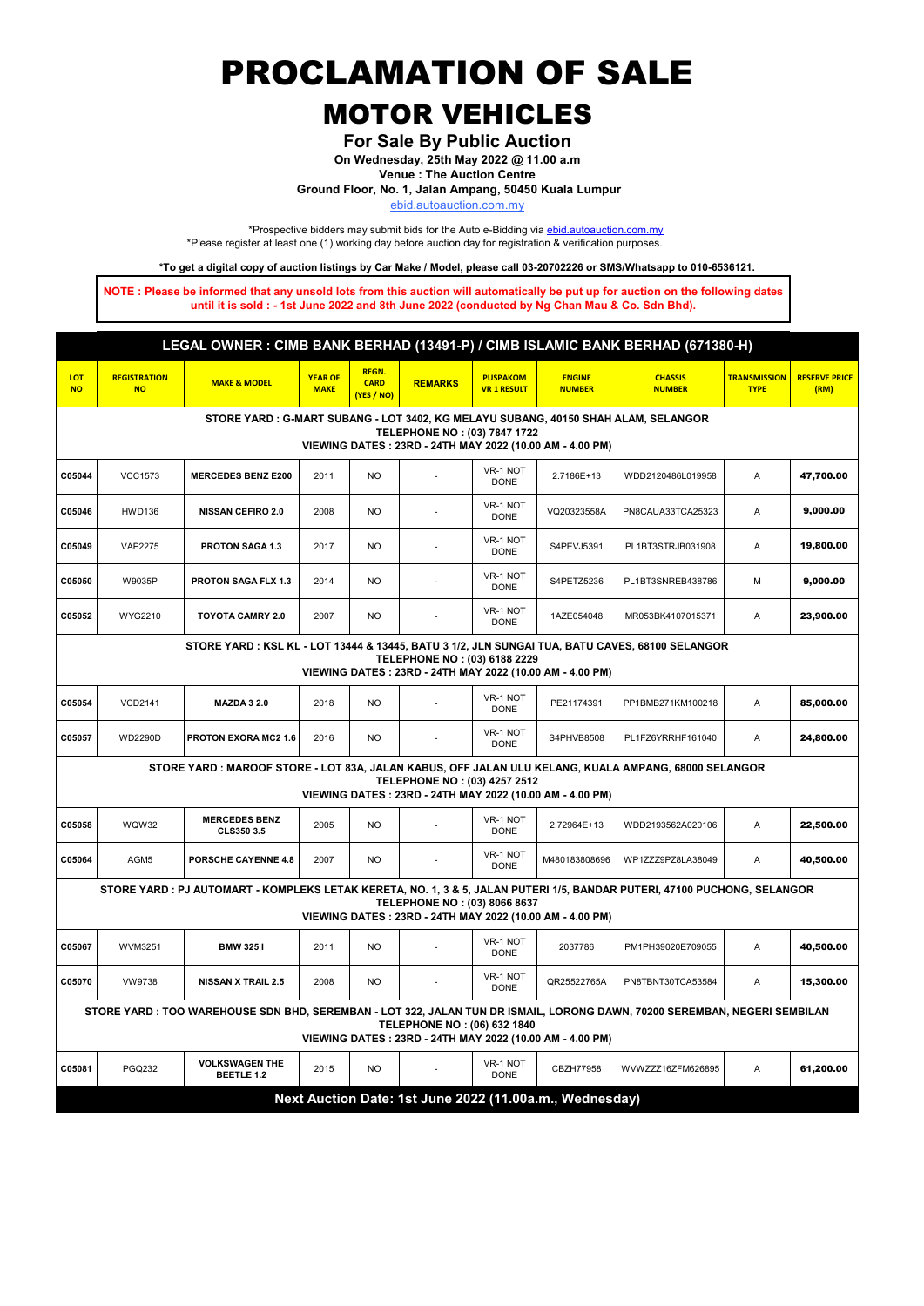PROCLAMATION OF SALE

# MOTOR VEHICLES

For Sale By Public Auction

On Wednesday, 25th May 2022 @ 11.00 a.m

Venue : The Auction Centre

Ground Floor, No. 1, Jalan Ampang, 50450 Kuala Lumpur

ebid.autoauction.com.my

\*Prospective bidders may submit bids for the Auto e-Bidding via **ebid.autoauction.com.my** \*Please register at least one (1) working day before auction day for registration & verification purposes.

\*To get a digital copy of auction listings by Car Make / Model, please call 03-20702226 or SMS/Whatsapp to 010-6536121.

NOTE : Please be informed that any unsold lots from this auction will automatically be put up for auction on the following dates until it is sold : - 1st June 2022 and 8th June 2022 (conducted by Ng Chan Mau & Co. Sdn Bhd).

| LEGAL OWNER: CIMB BANK BERHAD (13491-P) / CIMB ISLAMIC BANK BERHAD (671380-H)                                                                                                                                        |                                  |                                            |                               |                                           |                |                                       |                                |                                 |                                    |                              |  |
|----------------------------------------------------------------------------------------------------------------------------------------------------------------------------------------------------------------------|----------------------------------|--------------------------------------------|-------------------------------|-------------------------------------------|----------------|---------------------------------------|--------------------------------|---------------------------------|------------------------------------|------------------------------|--|
| LOT<br><b>NO</b>                                                                                                                                                                                                     | <b>REGISTRATION</b><br><b>NO</b> | <b>MAKE &amp; MODEL</b>                    | <b>YEAR OF</b><br><b>MAKE</b> | <b>REGN.</b><br><b>CARD</b><br>(YES / NO) | <b>REMARKS</b> | <b>PUSPAKOM</b><br><b>VR 1 RESULT</b> | <b>ENGINE</b><br><b>NUMBER</b> | <b>CHASSIS</b><br><b>NUMBER</b> | <b>TRANSMISSION</b><br><b>TYPE</b> | <b>RESERVE PRICE</b><br>(RM) |  |
| STORE YARD: G-MART SUBANG - LOT 3402, KG MELAYU SUBANG, 40150 SHAH ALAM, SELANGOR<br>TELEPHONE NO: (03) 7847 1722<br>VIEWING DATES: 23RD - 24TH MAY 2022 (10.00 AM - 4.00 PM)                                        |                                  |                                            |                               |                                           |                |                                       |                                |                                 |                                    |                              |  |
| C05044                                                                                                                                                                                                               | <b>VCC1573</b>                   | <b>MERCEDES BENZ E200</b>                  | 2011                          | <b>NO</b>                                 |                | VR-1 NOT<br><b>DONE</b>               | 2.7186E+13                     | WDD2120486L019958               | A                                  | 47,700.00                    |  |
| C05046                                                                                                                                                                                                               | <b>HWD136</b>                    | <b>NISSAN CEFIRO 2.0</b>                   | 2008                          | <b>NO</b>                                 |                | VR-1 NOT<br><b>DONE</b>               | VQ20323558A                    | PN8CAUA33TCA25323               | A                                  | 9,000.00                     |  |
| C05049                                                                                                                                                                                                               | <b>VAP2275</b>                   | PROTON SAGA 1.3                            | 2017                          | N <sub>O</sub>                            |                | VR-1 NOT<br><b>DONE</b>               | S4PEVJ5391                     | PL1BT3STRJB031908               | A                                  | 19,800.00                    |  |
| C05050                                                                                                                                                                                                               | W9035P                           | PROTON SAGA FLX 1.3                        | 2014                          | <b>NO</b>                                 |                | VR-1 NOT<br><b>DONE</b>               | S4PETZ5236                     | PL1BT3SNREB438786               | M                                  | 9,000.00                     |  |
| C05052                                                                                                                                                                                                               | WYG2210                          | <b>TOYOTA CAMRY 2.0</b>                    | 2007                          | N <sub>O</sub>                            |                | VR-1 NOT<br><b>DONE</b>               | 1AZE054048                     | MR053BK4107015371               | A                                  | 23,900.00                    |  |
| STORE YARD : KSL KL - LOT 13444 & 13445, BATU 3 1/2, JLN SUNGAI TUA, BATU CAVES, 68100 SELANGOR<br>TELEPHONE NO: (03) 6188 2229<br>VIEWING DATES: 23RD - 24TH MAY 2022 (10.00 AM - 4.00 PM)                          |                                  |                                            |                               |                                           |                |                                       |                                |                                 |                                    |                              |  |
| C05054                                                                                                                                                                                                               | <b>VCD2141</b>                   | <b>MAZDA 3 2.0</b>                         | 2018                          | N <sub>O</sub>                            |                | VR-1 NOT<br><b>DONE</b>               | PE21174391                     | PP1BMB271KM100218               | Α                                  | 85,000.00                    |  |
| C05057                                                                                                                                                                                                               | <b>WD2290D</b>                   | PROTON EXORA MC2 1.6                       | 2016                          | <b>NO</b>                                 |                | VR-1 NOT<br><b>DONE</b>               | S4PHVB8508                     | PL1FZ6YRRHF161040               | Α                                  | 24,800.00                    |  |
| STORE YARD: MAROOF STORE - LOT 83A, JALAN KABUS, OFF JALAN ULU KELANG, KUALA AMPANG, 68000 SELANGOR<br>TELEPHONE NO: (03) 4257 2512<br>VIEWING DATES: 23RD - 24TH MAY 2022 (10.00 AM - 4.00 PM)                      |                                  |                                            |                               |                                           |                |                                       |                                |                                 |                                    |                              |  |
| C05058                                                                                                                                                                                                               | WQW32                            | <b>MERCEDES BENZ</b><br>CLS350 3.5         | 2005                          | N <sub>O</sub>                            |                | VR-1 NOT<br><b>DONE</b>               | 2.72964E+13                    | WDD2193562A020106               | A                                  | 22,500.00                    |  |
| C05064                                                                                                                                                                                                               | AGM <sub>5</sub>                 | PORSCHE CAYENNE 4.8                        | 2007                          | <b>NO</b>                                 | ÷.             | VR-1 NOT<br><b>DONE</b>               | M480183808696                  | WP1ZZZ9PZ8LA38049               | A                                  | 40,500.00                    |  |
| STORE YARD : PJ AUTOMART - KOMPLEKS LETAK KERETA, NO. 1, 3 & 5, JALAN PUTERI 1/5, BANDAR PUTERI, 47100 PUCHONG, SELANGOR<br>TELEPHONE NO: (03) 8066 8637<br>VIEWING DATES: 23RD - 24TH MAY 2022 (10.00 AM - 4.00 PM) |                                  |                                            |                               |                                           |                |                                       |                                |                                 |                                    |                              |  |
| C05067                                                                                                                                                                                                               | WVM3251                          | <b>BMW 3251</b>                            | 2011                          | N <sub>O</sub>                            |                | VR-1 NOT<br><b>DONE</b>               | 2037786                        | PM1PH39020E709055               | A                                  | 40,500.00                    |  |
| C05070                                                                                                                                                                                                               | <b>VW9738</b>                    | <b>NISSAN X TRAIL 2.5</b>                  | 2008                          | N <sub>O</sub>                            |                | VR-1 NOT<br><b>DONE</b>               | QR25522765A                    | PN8TBNT30TCA53584               | A                                  | 15,300.00                    |  |
| STORE YARD: TOO WAREHOUSE SDN BHD, SEREMBAN - LOT 322, JALAN TUN DR ISMAIL, LORONG DAWN, 70200 SEREMBAN, NEGERI SEMBILAN<br>TELEPHONE NO: (06) 632 1840<br>VIEWING DATES: 23RD - 24TH MAY 2022 (10.00 AM - 4.00 PM)  |                                  |                                            |                               |                                           |                |                                       |                                |                                 |                                    |                              |  |
| C05081                                                                                                                                                                                                               | PGQ232                           | <b>VOLKSWAGEN THE</b><br><b>BEETLE 1.2</b> | 2015                          | <b>NO</b>                                 |                | VR-1 NOT<br><b>DONE</b>               | CBZH77958                      | WVWZZZ16ZFM626895               | A                                  | 61,200.00                    |  |
| Next Auction Date: 1st June 2022 (11.00a.m., Wednesday)                                                                                                                                                              |                                  |                                            |                               |                                           |                |                                       |                                |                                 |                                    |                              |  |